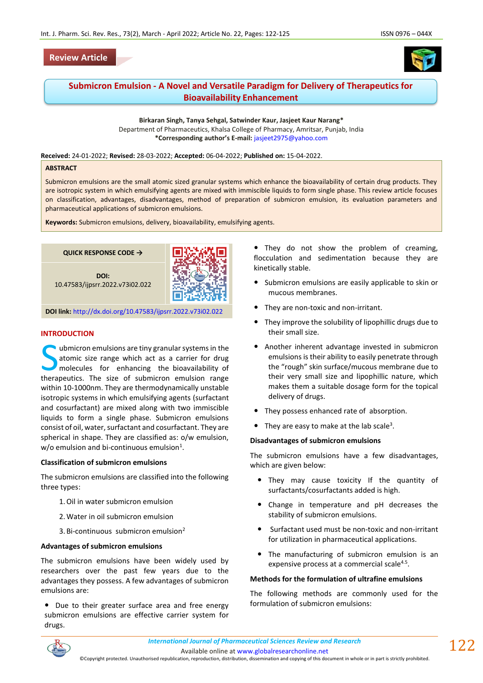# **Review Article**





# **Submicron Emulsion - A Novel and Versatile Paradigm for Delivery of Therapeutics for Bioavailability Enhancement**

**Birkaran Singh, Tanya Sehgal, Satwinder Kaur, Jasjeet Kaur Narang\*** Department of Pharmaceutics, Khalsa College of Pharmacy, Amritsar, Punjab, India **\*Corresponding author's E-mail:** [jasjeet2975@yahoo.com](mailto:jasjeet2975@yahoo.com)

**Received:** 24-01-2022; **Revised:** 28-03-2022; **Accepted:** 06-04-2022; **Published on:** 15-04-2022.

#### **ABSTRACT**

Submicron emulsions are the small atomic sized granular systems which enhance the bioavailability of certain drug products. They are isotropic system in which emulsifying agents are mixed with immiscible liquids to form single phase. This review article focuses on classification, advantages, disadvantages, method of preparation of submicron emulsion, its evaluation parameters and pharmaceutical applications of submicron emulsions.

**Keywords:** Submicron emulsions, delivery, bioavailability, emulsifying agents.



#### **INTRODUCTION**

ubmicron emulsions are tiny granular systems in the atomic size range which act as a carrier for drug molecules for enhancing the bioavailability of University granular systems in the atomic size range which act as a carrier for drug molecules for enhancing the bioavailability of therapeutics. The size of submicron emulsion range within 10-1000nm. They are thermodynamically unstable isotropic systems in which emulsifying agents (surfactant and cosurfactant) are mixed along with two immiscible liquids to form a single phase. Submicron emulsions consist of oil, water, surfactant and cosurfactant. They are spherical in shape. They are classified as: o/w emulsion, w/o emulsion and bi-continuous emulsion $^1$ .

### **Classification of submicron emulsions**

The submicron emulsions are classified into the following three types:

- 1.Oil in water submicron emulsion
- 2.Water in oil submicron emulsion
- 3. Bi-continuous submicron emulsion<sup>2</sup>

### **Advantages of submicron emulsions**

The submicron emulsions have been widely used by researchers over the past few years due to the advantages they possess. A few advantages of submicron emulsions are:

• Due to their greater surface area and free energy submicron emulsions are effective carrier system for drugs.

• They do not show the problem of creaming, flocculation and sedimentation because they are kinetically stable.

- Submicron emulsions are easily applicable to skin or mucous membranes.
- They are non-toxic and non-irritant.
- They improve the solubility of lipophillic drugs due to their small size.
- Another inherent advantage invested in submicron emulsions is their ability to easily penetrate through the "rough" skin surface/mucous membrane due to their very small size and lipophillic nature, which makes them a suitable dosage form for the topical delivery of drugs.
- They possess enhanced rate of absorption.
- $\bullet$  They are easy to make at the lab scale<sup>3</sup>.

#### **Disadvantages of submicron emulsions**

The submicron emulsions have a few disadvantages, which are given below:

- They may cause toxicity If the quantity of surfactants/cosurfactants added is high.
- Change in temperature and pH decreases the stability of submicron emulsions.
- Surfactant used must be non-toxic and non-irritant for utilization in pharmaceutical applications.
- The manufacturing of submicron emulsion is an expensive process at a commercial scale<sup>4.5</sup>.

#### **Methods for the formulation of ultrafine emulsions**

The following methods are commonly used for the formulation of submicron emulsions:



©Copyright protected. Unauthorised republication, reproduction, distribution, dissemination and copying of this document in whole or in part is strictly prohibited.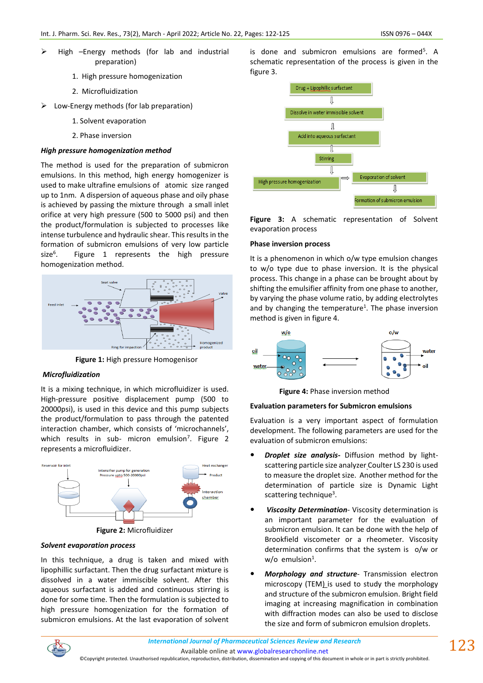- $\triangleright$  High –Energy methods (for lab and industrial preparation)
	- 1. High pressure homogenization
	- 2. Microfluidization
- $\triangleright$  Low-Energy methods (for lab preparation)
	- 1. Solvent evaporation
	- 2. Phase inversion

### *High pressure homogenization method*

The method is used for the preparation of submicron emulsions. In this method, high energy homogenizer is used to make ultrafine emulsions of atomic size ranged up to 1nm. A dispersion of aqueous phase and oily phase is achieved by passing the mixture through a small inlet orifice at very high pressure (500 to 5000 psi) and then the product/formulation is subjected to processes like intense turbulence and hydraulic shear. This results in the formation of submicron emulsions of very low particle size<sup>6</sup>. Figure 1 represents the high pressure homogenization method.



**Figure 1:** High pressure Homogenisor

# *Microfluidization*

It is a mixing technique, in which microfluidizer is used. High-pressure positive displacement pump (500 to 20000psi), is used in this device and this pump subjects the product/formulation to pass through the patented interaction chamber, which consists of 'microchannels', which results in sub- micron emulsion<sup>7</sup>. Figure 2 represents a microfluidizer.



### *Solvent evaporation process*

In this technique, a drug is taken and mixed with lipophillic surfactant. Then the drug surfactant mixture is dissolved in a water immiscible solvent. After this aqueous surfactant is added and continuous stirring is done for some time. Then the formulation is subjected to high pressure homogenization for the formation of submicron emulsions. At the last evaporation of solvent

is done and submicron emulsions are formed<sup>5</sup>. A schematic representation of the process is given in the figure 3.



**Figure 3:** A schematic representation of Solvent evaporation process

### **Phase inversion process**

It is a phenomenon in which o/w type emulsion changes to w/o type due to phase inversion. It is the physical process. This change in a phase can be brought about by shifting the emulsifier affinity from one phase to another, by varying the phase volume ratio, by adding electrolytes and by changing the temperature<sup>1</sup>. The phase inversion method is given in figure 4.



**Figure 4:** Phase inversion method

# **Evaluation parameters for Submicron emulsions**

Evaluation is a very important aspect of formulation development. The following parameters are used for the evaluation of submicron emulsions:

- *Droplet size analysis-* Diffusion method by lightscattering particle size analyzer Coulter LS 230 is used to measure the droplet size. Another method for the determination of particle size is Dynamic Light scattering technique<sup>3</sup>.
- *Viscosity Determination* Viscosity determination is an important parameter for the evaluation of submicron emulsion. It can be done with the help of Brookfield viscometer or a rheometer. Viscosity determination confirms that the system is o/w or w/o emulsion $^1$ .
- *Morphology and structure* Transmission electron microscopy (TEM) is used to study the morphology and structure of the submicron emulsion. Bright field imaging at increasing magnification in combination with diffraction modes can also be used to disclose the size and form of submicron emulsion droplets.



Available online a[t www.globalresearchonline.net](http://www.globalresearchonline.net/)

©Copyright protected. Unauthorised republication, reproduction, distribution, dissemination and copying of this document in whole or in part is strictly prohibited.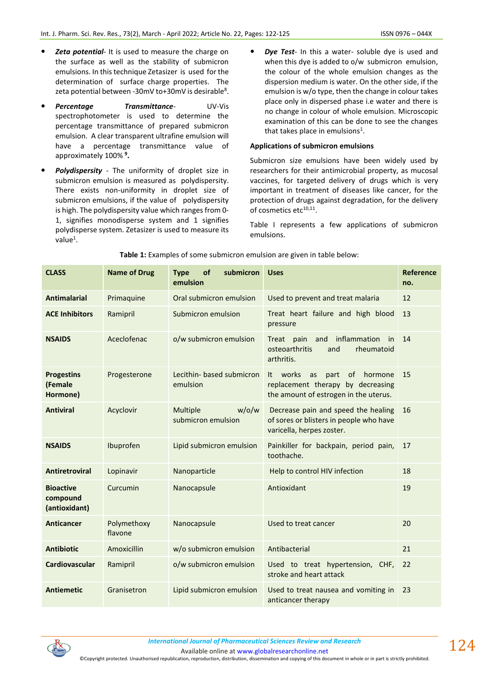- *Zeta potential* It is used to measure the charge on the surface as well as the stability of submicron emulsions. In this technique Zetasizer is used for the determination of surface charge properties. The zeta potential between -30mV to+30mV is desirable<sup>8</sup>.
- **Percentage Transmittance-** UV-Vis spectrophotometer is used to determine the percentage transmittance of prepared submicron emulsion. A clear transparent ultrafine emulsion will have a percentage transmittance value of approximately 100% **<sup>9</sup> .**
- *Polydispersity* The uniformity of droplet size in submicron emulsion is measured as polydispersity. There exists non-uniformity in droplet size of submicron emulsions, if the value of polydispersity is high. The polydispersity value which ranges from 0- 1, signifies monodisperse system and 1 signifies polydisperse system. Zetasizer is used to measure its value $^1$ .
- *Dye Test* In this a water- soluble dye is used and when this dye is added to o/w submicron emulsion, the colour of the whole emulsion changes as the dispersion medium is water. On the other side, if the emulsion is w/o type, then the change in colour takes place only in dispersed phase i.e water and there is no change in colour of whole emulsion. Microscopic examination of this can be done to see the changes that takes place in emulsions<sup>1</sup>.

## **Applications of submicron emulsions**

Submicron size emulsions have been widely used by researchers for their antimicrobial property, as mucosal vaccines, for targeted delivery of drugs which is very important in treatment of diseases like cancer, for the protection of drugs against degradation, for the delivery of cosmetics etc<sup>10,11</sup>.

Table I represents a few applications of submicron emulsions.

| <b>CLASS</b>                                  | <b>Name of Drug</b>    | of<br>submicron<br><b>Type</b><br>emulsion | <b>Uses</b>                                                                                                           | <b>Reference</b><br>no. |
|-----------------------------------------------|------------------------|--------------------------------------------|-----------------------------------------------------------------------------------------------------------------------|-------------------------|
| <b>Antimalarial</b>                           | Primaquine             | Oral submicron emulsion                    | Used to prevent and treat malaria                                                                                     | 12                      |
| <b>ACE Inhibitors</b>                         | Ramipril               | Submicron emulsion                         | Treat heart failure and high blood<br>pressure                                                                        | 13                      |
| <b>NSAIDS</b>                                 | Aceclofenac            | o/w submicron emulsion                     | inflammation<br>pain<br>and<br>Treat<br>in<br>osteoarthritis<br>and<br>rheumatoid<br>arthritis.                       | 14                      |
| <b>Progestins</b><br>(Female<br>Hormone)      | Progesterone           | Lecithin- based submicron<br>emulsion      | It works<br>of<br>hormone<br>as<br>part<br>replacement therapy by decreasing<br>the amount of estrogen in the uterus. | 15                      |
| <b>Antiviral</b>                              | Acyclovir              | $w$ /o/w<br>Multiple<br>submicron emulsion | Decrease pain and speed the healing<br>of sores or blisters in people who have<br>varicella, herpes zoster.           | 16                      |
| <b>NSAIDS</b>                                 | Ibuprofen              | Lipid submicron emulsion                   | Painkiller for backpain, period pain,<br>toothache.                                                                   | 17                      |
| <b>Antiretroviral</b>                         | Lopinavir              | Nanoparticle                               | Help to control HIV infection                                                                                         | 18                      |
| <b>Bioactive</b><br>compound<br>(antioxidant) | Curcumin               | Nanocapsule                                | Antioxidant                                                                                                           | 19                      |
| <b>Anticancer</b>                             | Polymethoxy<br>flavone | Nanocapsule                                | Used to treat cancer                                                                                                  | 20                      |
| <b>Antibiotic</b>                             | Amoxicillin            | w/o submicron emulsion                     | Antibacterial                                                                                                         | 21                      |
| Cardiovascular                                | Ramipril               | o/w submicron emulsion                     | Used to treat hypertension, CHF,<br>stroke and heart attack                                                           | 22                      |
| <b>Antiemetic</b>                             | Granisetron            | Lipid submicron emulsion                   | Used to treat nausea and vomiting in<br>anticancer therapy                                                            | 23                      |

**Table 1:** Examples of some submicron emulsion are given in table below:



Available online a[t www.globalresearchonline.net](http://www.globalresearchonline.net/)